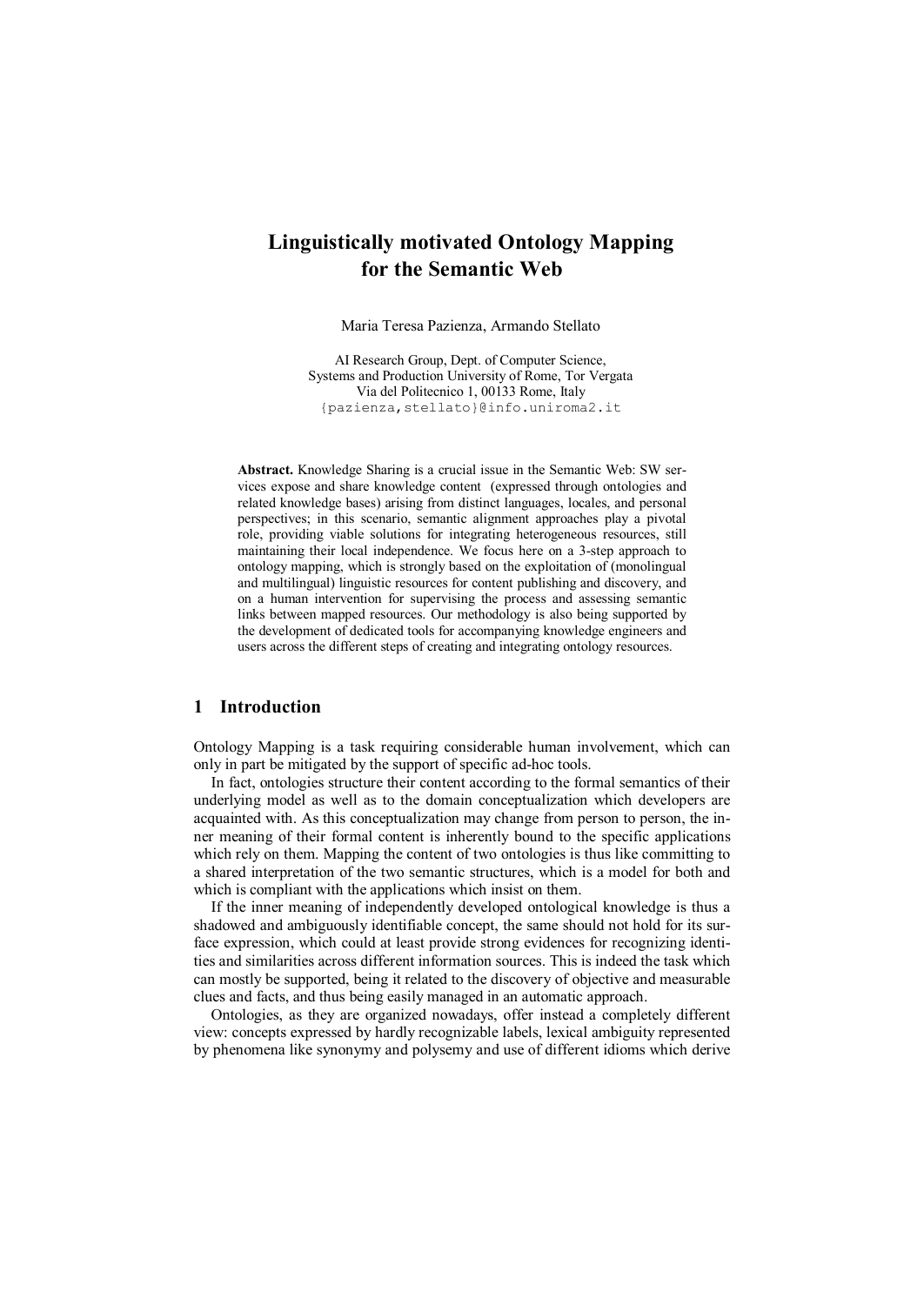# **Linguistically motivated Ontology Mapping for the Semantic Web**

Maria Teresa Pazienza, Armando Stellato

AI Research Group, Dept. of Computer Science, Systems and Production University of Rome, Tor Vergata Via del Politecnico 1, 00133 Rome, Italy {pazienza,stellato}@info.uniroma2.it

**Abstract.** Knowledge Sharing is a crucial issue in the Semantic Web: SW services expose and share knowledge content (expressed through ontologies and related knowledge bases) arising from distinct languages, locales, and personal perspectives; in this scenario, semantic alignment approaches play a pivotal role, providing viable solutions for integrating heterogeneous resources, still maintaining their local independence. We focus here on a 3-step approach to ontology mapping, which is strongly based on the exploitation of (monolingual and multilingual) linguistic resources for content publishing and discovery, and on a human intervention for supervising the process and assessing semantic links between mapped resources. Our methodology is also being supported by the development of dedicated tools for accompanying knowledge engineers and users across the different steps of creating and integrating ontology resources.

## **1 Introduction**

Ontology Mapping is a task requiring considerable human involvement, which can only in part be mitigated by the support of specific ad-hoc tools.

In fact, ontologies structure their content according to the formal semantics of their underlying model as well as to the domain conceptualization which developers are acquainted with. As this conceptualization may change from person to person, the inner meaning of their formal content is inherently bound to the specific applications which rely on them. Mapping the content of two ontologies is thus like committing to a shared interpretation of the two semantic structures, which is a model for both and which is compliant with the applications which insist on them.

If the inner meaning of independently developed ontological knowledge is thus a shadowed and ambiguously identifiable concept, the same should not hold for its surface expression, which could at least provide strong evidences for recognizing identities and similarities across different information sources. This is indeed the task which can mostly be supported, being it related to the discovery of objective and measurable clues and facts, and thus being easily managed in an automatic approach.

Ontologies, as they are organized nowadays, offer instead a completely different view: concepts expressed by hardly recognizable labels, lexical ambiguity represented by phenomena like synonymy and polysemy and use of different idioms which derive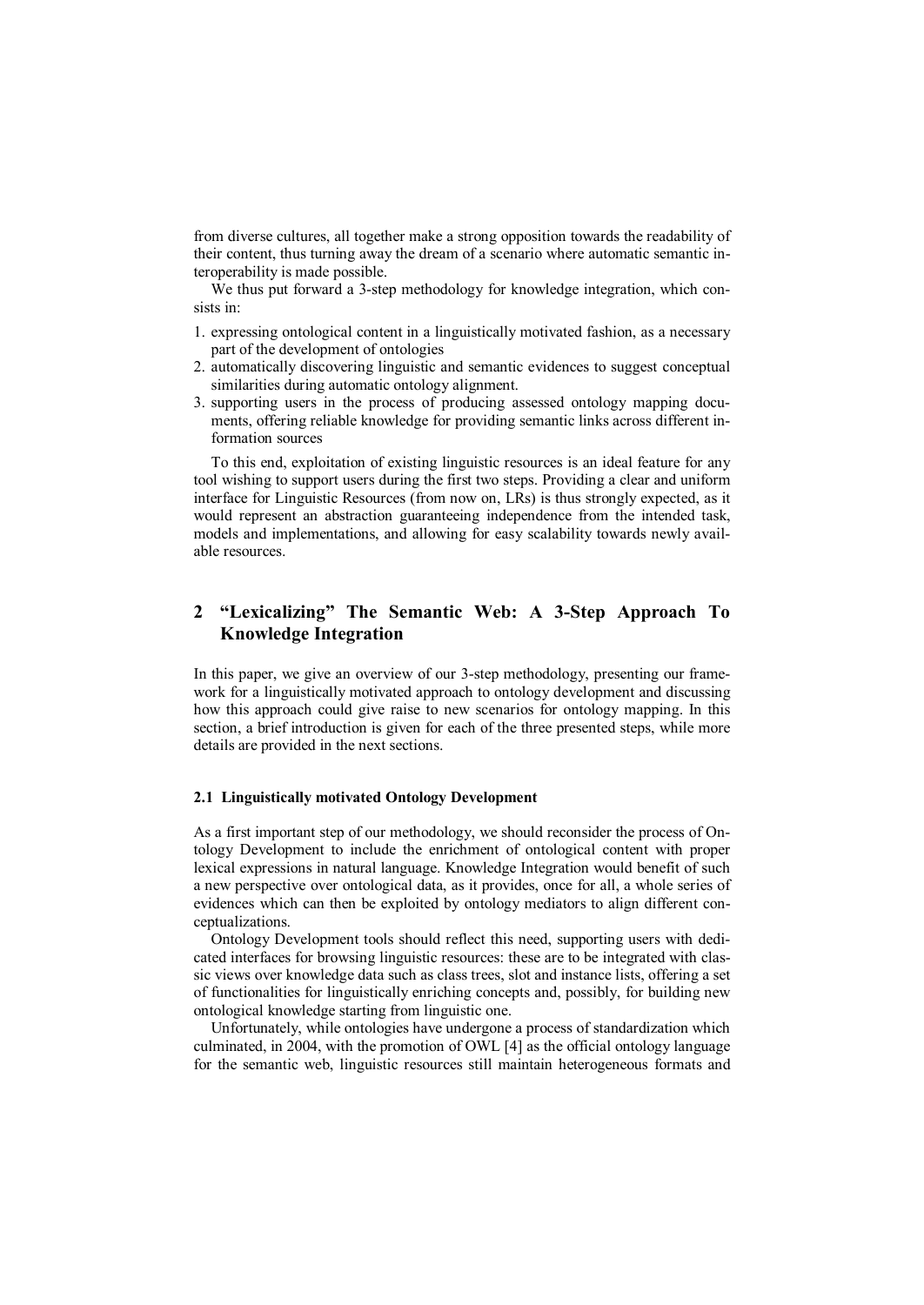from diverse cultures, all together make a strong opposition towards the readability of their content, thus turning away the dream of a scenario where automatic semantic interoperability is made possible.

We thus put forward a 3-step methodology for knowledge integration, which consists in:

- 1. expressing ontological content in a linguistically motivated fashion, as a necessary part of the development of ontologies
- 2. automatically discovering linguistic and semantic evidences to suggest conceptual similarities during automatic ontology alignment.
- 3. supporting users in the process of producing assessed ontology mapping documents, offering reliable knowledge for providing semantic links across different information sources

To this end, exploitation of existing linguistic resources is an ideal feature for any tool wishing to support users during the first two steps. Providing a clear and uniform interface for Linguistic Resources (from now on, LRs) is thus strongly expected, as it would represent an abstraction guaranteeing independence from the intended task, models and implementations, and allowing for easy scalability towards newly available resources.

## **2 "Lexicalizing" The Semantic Web: A 3-Step Approach To Knowledge Integration**

In this paper, we give an overview of our 3-step methodology, presenting our framework for a linguistically motivated approach to ontology development and discussing how this approach could give raise to new scenarios for ontology mapping. In this section, a brief introduction is given for each of the three presented steps, while more details are provided in the next sections.

### **2.1 Linguistically motivated Ontology Development**

As a first important step of our methodology, we should reconsider the process of Ontology Development to include the enrichment of ontological content with proper lexical expressions in natural language. Knowledge Integration would benefit of such a new perspective over ontological data, as it provides, once for all, a whole series of evidences which can then be exploited by ontology mediators to align different conceptualizations.

Ontology Development tools should reflect this need, supporting users with dedicated interfaces for browsing linguistic resources: these are to be integrated with classic views over knowledge data such as class trees, slot and instance lists, offering a set of functionalities for linguistically enriching concepts and, possibly, for building new ontological knowledge starting from linguistic one.

Unfortunately, while ontologies have undergone a process of standardization which culminated, in 2004, with the promotion of OWL [4] as the official ontology language for the semantic web, linguistic resources still maintain heterogeneous formats and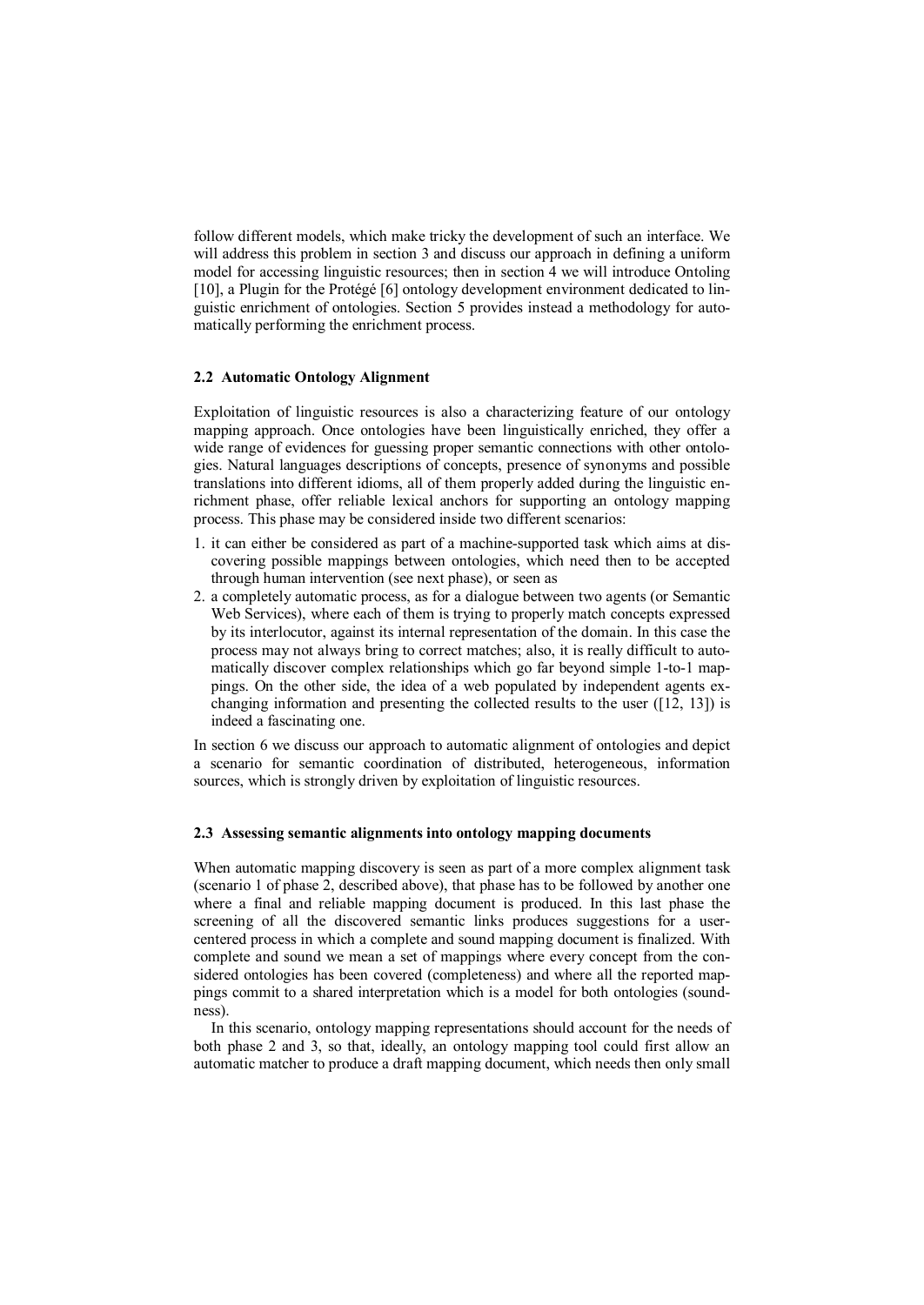follow different models, which make tricky the development of such an interface. We will address this problem in section 3 and discuss our approach in defining a uniform model for accessing linguistic resources; then in section 4 we will introduce Ontoling [10], a Plugin for the Protégé [6] ontology development environment dedicated to linguistic enrichment of ontologies. Section 5 provides instead a methodology for automatically performing the enrichment process.

### **2.2 Automatic Ontology Alignment**

Exploitation of linguistic resources is also a characterizing feature of our ontology mapping approach. Once ontologies have been linguistically enriched, they offer a wide range of evidences for guessing proper semantic connections with other ontologies. Natural languages descriptions of concepts, presence of synonyms and possible translations into different idioms, all of them properly added during the linguistic enrichment phase, offer reliable lexical anchors for supporting an ontology mapping process. This phase may be considered inside two different scenarios:

- 1. it can either be considered as part of a machine-supported task which aims at discovering possible mappings between ontologies, which need then to be accepted through human intervention (see next phase), or seen as
- 2. a completely automatic process, as for a dialogue between two agents (or Semantic Web Services), where each of them is trying to properly match concepts expressed by its interlocutor, against its internal representation of the domain. In this case the process may not always bring to correct matches; also, it is really difficult to automatically discover complex relationships which go far beyond simple 1-to-1 mappings. On the other side, the idea of a web populated by independent agents exchanging information and presenting the collected results to the user ([12, 13]) is indeed a fascinating one.

In section 6 we discuss our approach to automatic alignment of ontologies and depict a scenario for semantic coordination of distributed, heterogeneous, information sources, which is strongly driven by exploitation of linguistic resources.

#### **2.3 Assessing semantic alignments into ontology mapping documents**

When automatic mapping discovery is seen as part of a more complex alignment task (scenario 1 of phase 2, described above), that phase has to be followed by another one where a final and reliable mapping document is produced. In this last phase the screening of all the discovered semantic links produces suggestions for a usercentered process in which a complete and sound mapping document is finalized. With complete and sound we mean a set of mappings where every concept from the considered ontologies has been covered (completeness) and where all the reported mappings commit to a shared interpretation which is a model for both ontologies (soundness).

In this scenario, ontology mapping representations should account for the needs of both phase 2 and 3, so that, ideally, an ontology mapping tool could first allow an automatic matcher to produce a draft mapping document, which needs then only small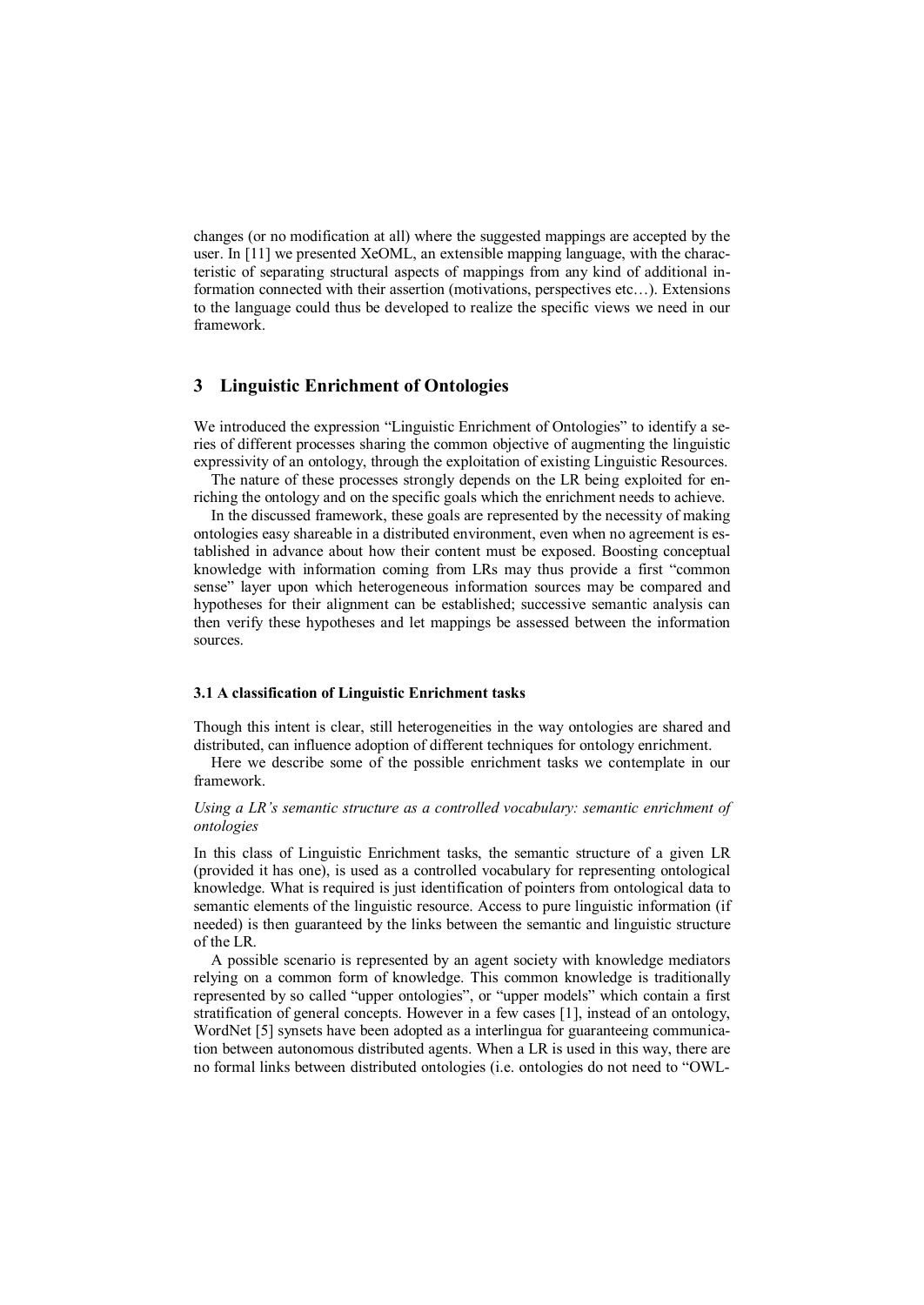changes (or no modification at all) where the suggested mappings are accepted by the user. In [11] we presented XeOML, an extensible mapping language, with the characteristic of separating structural aspects of mappings from any kind of additional information connected with their assertion (motivations, perspectives etc…). Extensions to the language could thus be developed to realize the specific views we need in our framework.

## **3 Linguistic Enrichment of Ontologies**

We introduced the expression "Linguistic Enrichment of Ontologies" to identify a series of different processes sharing the common objective of augmenting the linguistic expressivity of an ontology, through the exploitation of existing Linguistic Resources.

The nature of these processes strongly depends on the LR being exploited for enriching the ontology and on the specific goals which the enrichment needs to achieve.

In the discussed framework, these goals are represented by the necessity of making ontologies easy shareable in a distributed environment, even when no agreement is established in advance about how their content must be exposed. Boosting conceptual knowledge with information coming from LRs may thus provide a first "common sense" layer upon which heterogeneous information sources may be compared and hypotheses for their alignment can be established; successive semantic analysis can then verify these hypotheses and let mappings be assessed between the information sources.

## **3.1 A classification of Linguistic Enrichment tasks**

Though this intent is clear, still heterogeneities in the way ontologies are shared and distributed, can influence adoption of different techniques for ontology enrichment.

Here we describe some of the possible enrichment tasks we contemplate in our framework.

#### *Using a LR's semantic structure as a controlled vocabulary: semantic enrichment of ontologies*

In this class of Linguistic Enrichment tasks, the semantic structure of a given LR (provided it has one), is used as a controlled vocabulary for representing ontological knowledge. What is required is just identification of pointers from ontological data to semantic elements of the linguistic resource. Access to pure linguistic information (if needed) is then guaranteed by the links between the semantic and linguistic structure of the LR.

A possible scenario is represented by an agent society with knowledge mediators relying on a common form of knowledge. This common knowledge is traditionally represented by so called "upper ontologies", or "upper models" which contain a first stratification of general concepts. However in a few cases [1], instead of an ontology, WordNet [5] synsets have been adopted as a interlingua for guaranteeing communication between autonomous distributed agents. When a LR is used in this way, there are no formal links between distributed ontologies (i.e. ontologies do not need to "OWL-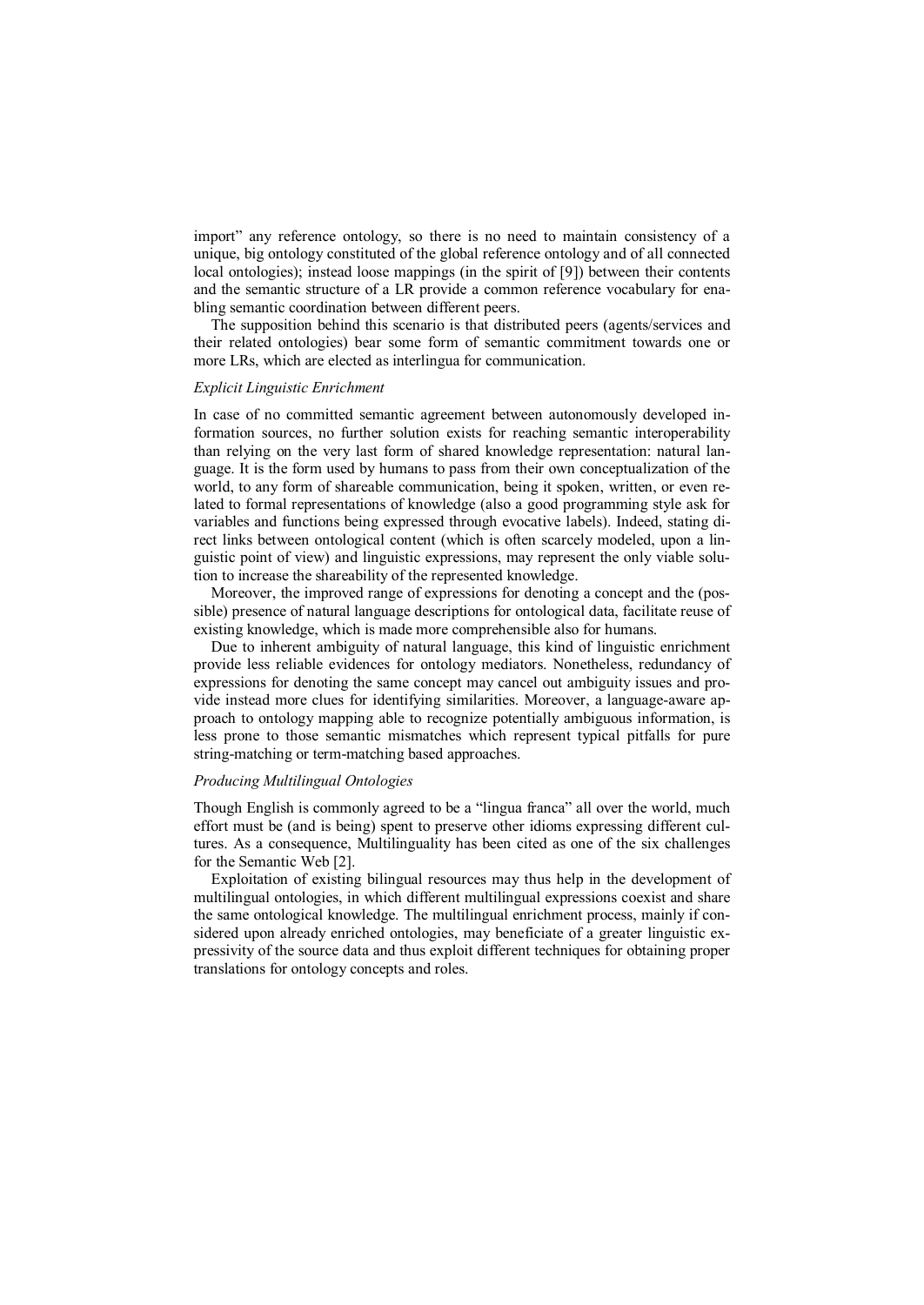import" any reference ontology, so there is no need to maintain consistency of a unique, big ontology constituted of the global reference ontology and of all connected local ontologies); instead loose mappings (in the spirit of [9]) between their contents and the semantic structure of a LR provide a common reference vocabulary for enabling semantic coordination between different peers.

The supposition behind this scenario is that distributed peers (agents/services and their related ontologies) bear some form of semantic commitment towards one or more LRs, which are elected as interlingua for communication.

#### *Explicit Linguistic Enrichment*

In case of no committed semantic agreement between autonomously developed information sources, no further solution exists for reaching semantic interoperability than relying on the very last form of shared knowledge representation: natural language. It is the form used by humans to pass from their own conceptualization of the world, to any form of shareable communication, being it spoken, written, or even related to formal representations of knowledge (also a good programming style ask for variables and functions being expressed through evocative labels). Indeed, stating direct links between ontological content (which is often scarcely modeled, upon a linguistic point of view) and linguistic expressions, may represent the only viable solution to increase the shareability of the represented knowledge.

Moreover, the improved range of expressions for denoting a concept and the (possible) presence of natural language descriptions for ontological data, facilitate reuse of existing knowledge, which is made more comprehensible also for humans.

Due to inherent ambiguity of natural language, this kind of linguistic enrichment provide less reliable evidences for ontology mediators. Nonetheless, redundancy of expressions for denoting the same concept may cancel out ambiguity issues and provide instead more clues for identifying similarities. Moreover, a language-aware approach to ontology mapping able to recognize potentially ambiguous information, is less prone to those semantic mismatches which represent typical pitfalls for pure string-matching or term-matching based approaches.

### *Producing Multilingual Ontologies*

Though English is commonly agreed to be a "lingua franca" all over the world, much effort must be (and is being) spent to preserve other idioms expressing different cultures. As a consequence, Multilinguality has been cited as one of the six challenges for the Semantic Web [2].

Exploitation of existing bilingual resources may thus help in the development of multilingual ontologies, in which different multilingual expressions coexist and share the same ontological knowledge. The multilingual enrichment process, mainly if considered upon already enriched ontologies, may beneficiate of a greater linguistic expressivity of the source data and thus exploit different techniques for obtaining proper translations for ontology concepts and roles.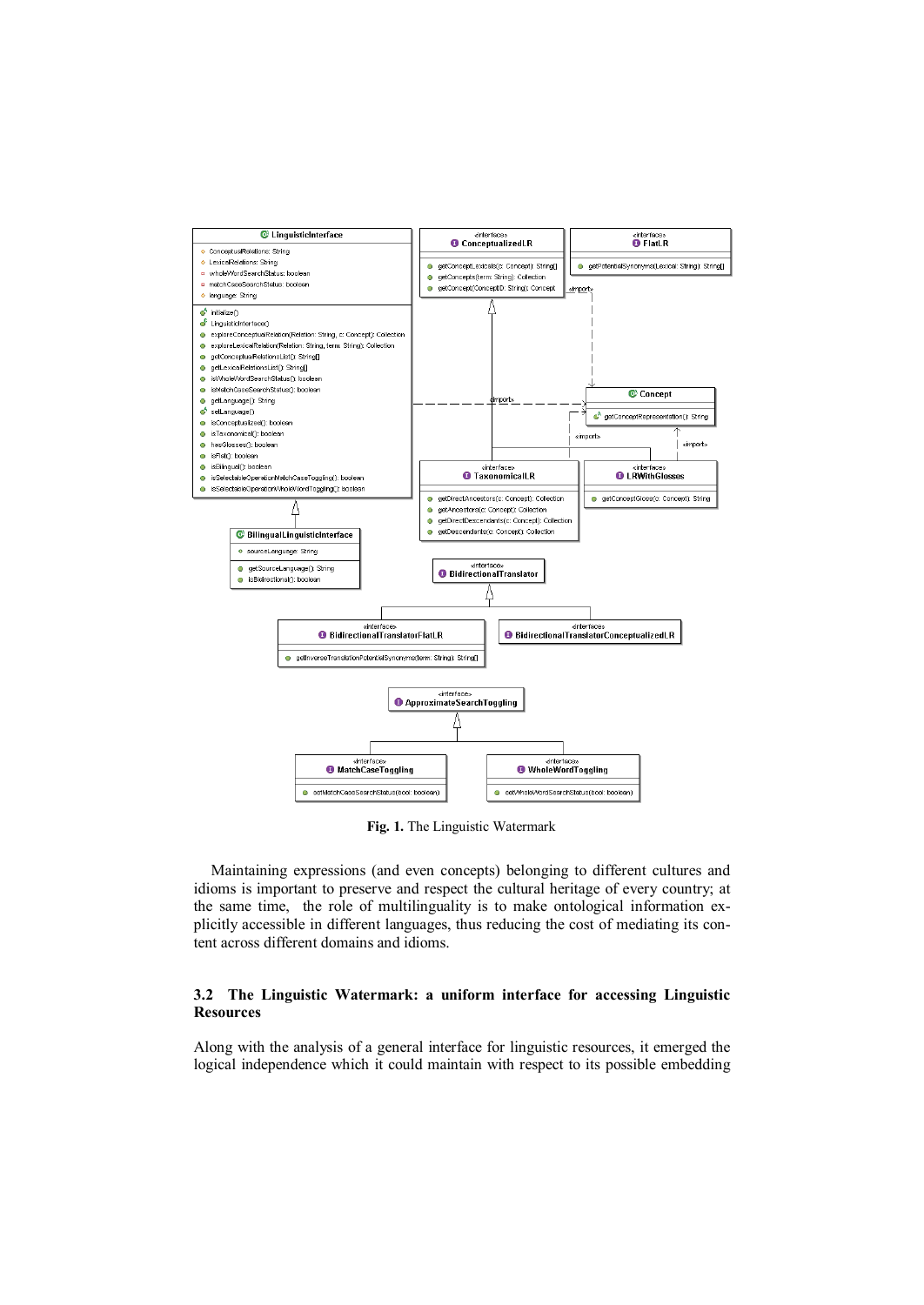

**Fig. 1.** The Linguistic Watermark

Maintaining expressions (and even concepts) belonging to different cultures and idioms is important to preserve and respect the cultural heritage of every country; at the same time, the role of multilinguality is to make ontological information explicitly accessible in different languages, thus reducing the cost of mediating its content across different domains and idioms.

## **3.2 The Linguistic Watermark: a uniform interface for accessing Linguistic Resources**

Along with the analysis of a general interface for linguistic resources, it emerged the logical independence which it could maintain with respect to its possible embedding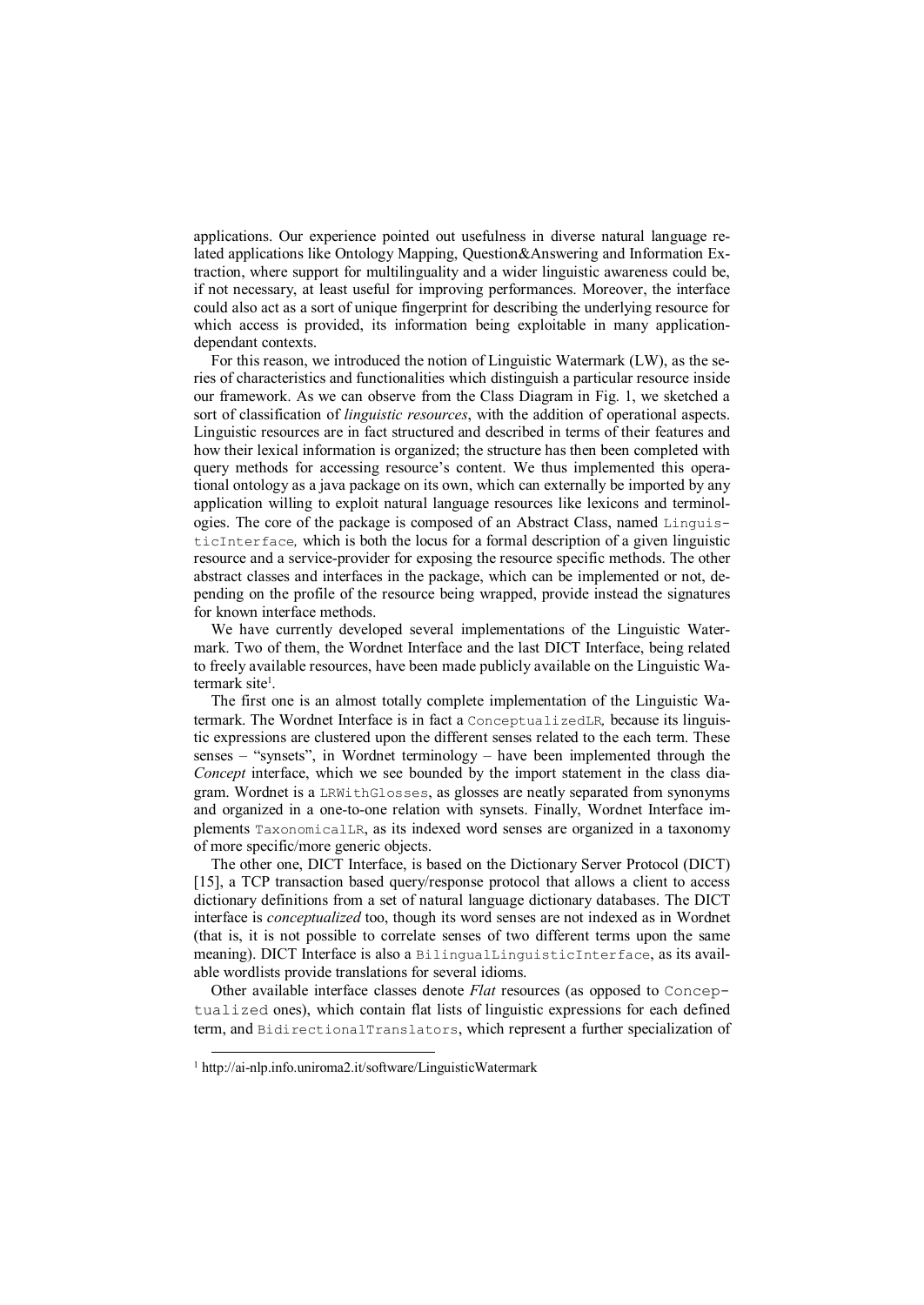applications. Our experience pointed out usefulness in diverse natural language related applications like Ontology Mapping, Question&Answering and Information Extraction, where support for multilinguality and a wider linguistic awareness could be, if not necessary, at least useful for improving performances. Moreover, the interface could also act as a sort of unique fingerprint for describing the underlying resource for which access is provided, its information being exploitable in many applicationdependant contexts.

For this reason, we introduced the notion of Linguistic Watermark (LW), as the series of characteristics and functionalities which distinguish a particular resource inside our framework. As we can observe from the Class Diagram in Fig. 1, we sketched a sort of classification of *linguistic resources*, with the addition of operational aspects. Linguistic resources are in fact structured and described in terms of their features and how their lexical information is organized; the structure has then been completed with query methods for accessing resource's content. We thus implemented this operational ontology as a java package on its own, which can externally be imported by any application willing to exploit natural language resources like lexicons and terminologies. The core of the package is composed of an Abstract Class, named LinguisticInterface*,* which is both the locus for a formal description of a given linguistic resource and a service-provider for exposing the resource specific methods. The other abstract classes and interfaces in the package, which can be implemented or not, depending on the profile of the resource being wrapped, provide instead the signatures for known interface methods.

We have currently developed several implementations of the Linguistic Watermark. Two of them, the Wordnet Interface and the last DICT Interface, being related to freely available resources, have been made publicly available on the Linguistic Watermark site<sup>1</sup>.

The first one is an almost totally complete implementation of the Linguistic Watermark. The Wordnet Interface is in fact a ConceptualizedLR*,* because its linguistic expressions are clustered upon the different senses related to the each term. These senses – "synsets", in Wordnet terminology – have been implemented through the *Concept* interface, which we see bounded by the import statement in the class diagram. Wordnet is a LRWithGlosses, as glosses are neatly separated from synonyms and organized in a one-to-one relation with synsets. Finally, Wordnet Interface implements TaxonomicalLR, as its indexed word senses are organized in a taxonomy of more specific/more generic objects.

The other one, DICT Interface, is based on the Dictionary Server Protocol (DICT) [15], a TCP transaction based query/response protocol that allows a client to access dictionary definitions from a set of natural language dictionary databases. The DICT interface is *conceptualized* too, though its word senses are not indexed as in Wordnet (that is, it is not possible to correlate senses of two different terms upon the same meaning). DICT Interface is also a BilingualLinguisticInterface, as its available wordlists provide translations for several idioms.

Other available interface classes denote *Flat* resources (as opposed to Conceptualized ones), which contain flat lists of linguistic expressions for each defined term, and BidirectionalTranslators, which represent a further specialization of

-

<sup>1</sup> http://ai-nlp.info.uniroma2.it/software/LinguisticWatermark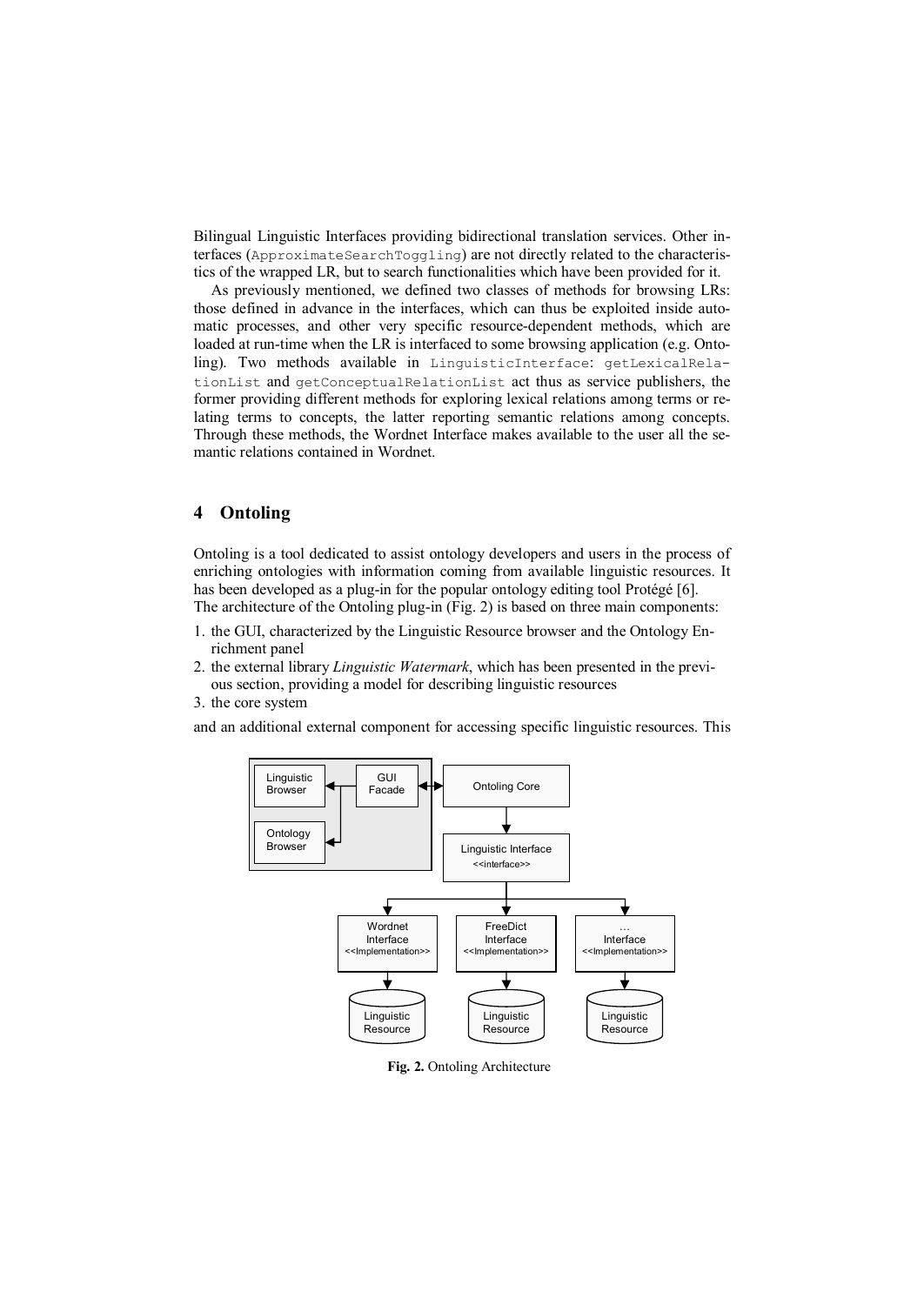Bilingual Linguistic Interfaces providing bidirectional translation services. Other interfaces (ApproximateSearchToggling) are not directly related to the characteristics of the wrapped LR, but to search functionalities which have been provided for it.

As previously mentioned, we defined two classes of methods for browsing LRs: those defined in advance in the interfaces, which can thus be exploited inside automatic processes, and other very specific resource-dependent methods, which are loaded at run-time when the LR is interfaced to some browsing application (e.g. Ontoling). Two methods available in LinguisticInterface: getLexicalRelationList and getConceptualRelationList act thus as service publishers, the former providing different methods for exploring lexical relations among terms or relating terms to concepts, the latter reporting semantic relations among concepts. Through these methods, the Wordnet Interface makes available to the user all the semantic relations contained in Wordnet.

## **4 Ontoling**

Ontoling is a tool dedicated to assist ontology developers and users in the process of enriching ontologies with information coming from available linguistic resources. It has been developed as a plug-in for the popular ontology editing tool Protégé [6]. The architecture of the Ontoling plug-in (Fig. 2) is based on three main components:

- 1. the GUI, characterized by the Linguistic Resource browser and the Ontology Enrichment panel
- 2. the external library *Linguistic Watermark*, which has been presented in the previous section, providing a model for describing linguistic resources
- 3. the core system

and an additional external component for accessing specific linguistic resources. This



**Fig. 2.** Ontoling Architecture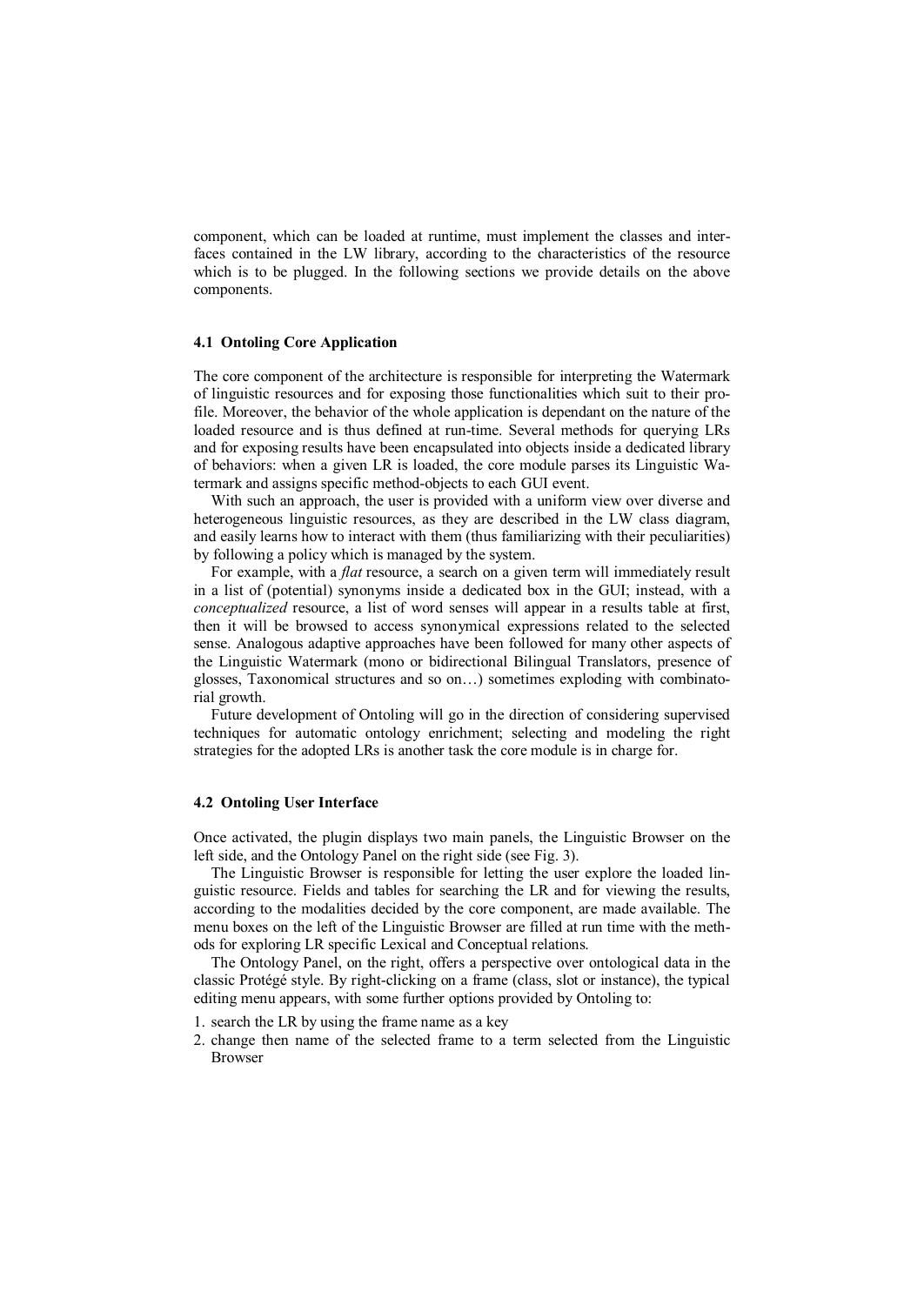component, which can be loaded at runtime, must implement the classes and interfaces contained in the LW library, according to the characteristics of the resource which is to be plugged. In the following sections we provide details on the above components.

## **4.1 Ontoling Core Application**

The core component of the architecture is responsible for interpreting the Watermark of linguistic resources and for exposing those functionalities which suit to their profile. Moreover, the behavior of the whole application is dependant on the nature of the loaded resource and is thus defined at run-time. Several methods for querying LRs and for exposing results have been encapsulated into objects inside a dedicated library of behaviors: when a given LR is loaded, the core module parses its Linguistic Watermark and assigns specific method-objects to each GUI event.

With such an approach, the user is provided with a uniform view over diverse and heterogeneous linguistic resources, as they are described in the LW class diagram, and easily learns how to interact with them (thus familiarizing with their peculiarities) by following a policy which is managed by the system.

For example, with a *flat* resource, a search on a given term will immediately result in a list of (potential) synonyms inside a dedicated box in the GUI; instead, with a *conceptualized* resource, a list of word senses will appear in a results table at first, then it will be browsed to access synonymical expressions related to the selected sense. Analogous adaptive approaches have been followed for many other aspects of the Linguistic Watermark (mono or bidirectional Bilingual Translators, presence of glosses, Taxonomical structures and so on…) sometimes exploding with combinatorial growth.

Future development of Ontoling will go in the direction of considering supervised techniques for automatic ontology enrichment; selecting and modeling the right strategies for the adopted LRs is another task the core module is in charge for.

#### **4.2 Ontoling User Interface**

Once activated, the plugin displays two main panels, the Linguistic Browser on the left side, and the Ontology Panel on the right side (see Fig. 3).

The Linguistic Browser is responsible for letting the user explore the loaded linguistic resource. Fields and tables for searching the LR and for viewing the results, according to the modalities decided by the core component, are made available. The menu boxes on the left of the Linguistic Browser are filled at run time with the methods for exploring LR specific Lexical and Conceptual relations.

The Ontology Panel, on the right, offers a perspective over ontological data in the classic Protégé style. By right-clicking on a frame (class, slot or instance), the typical editing menu appears, with some further options provided by Ontoling to:

- 1. search the LR by using the frame name as a key
- 2. change then name of the selected frame to a term selected from the Linguistic Browser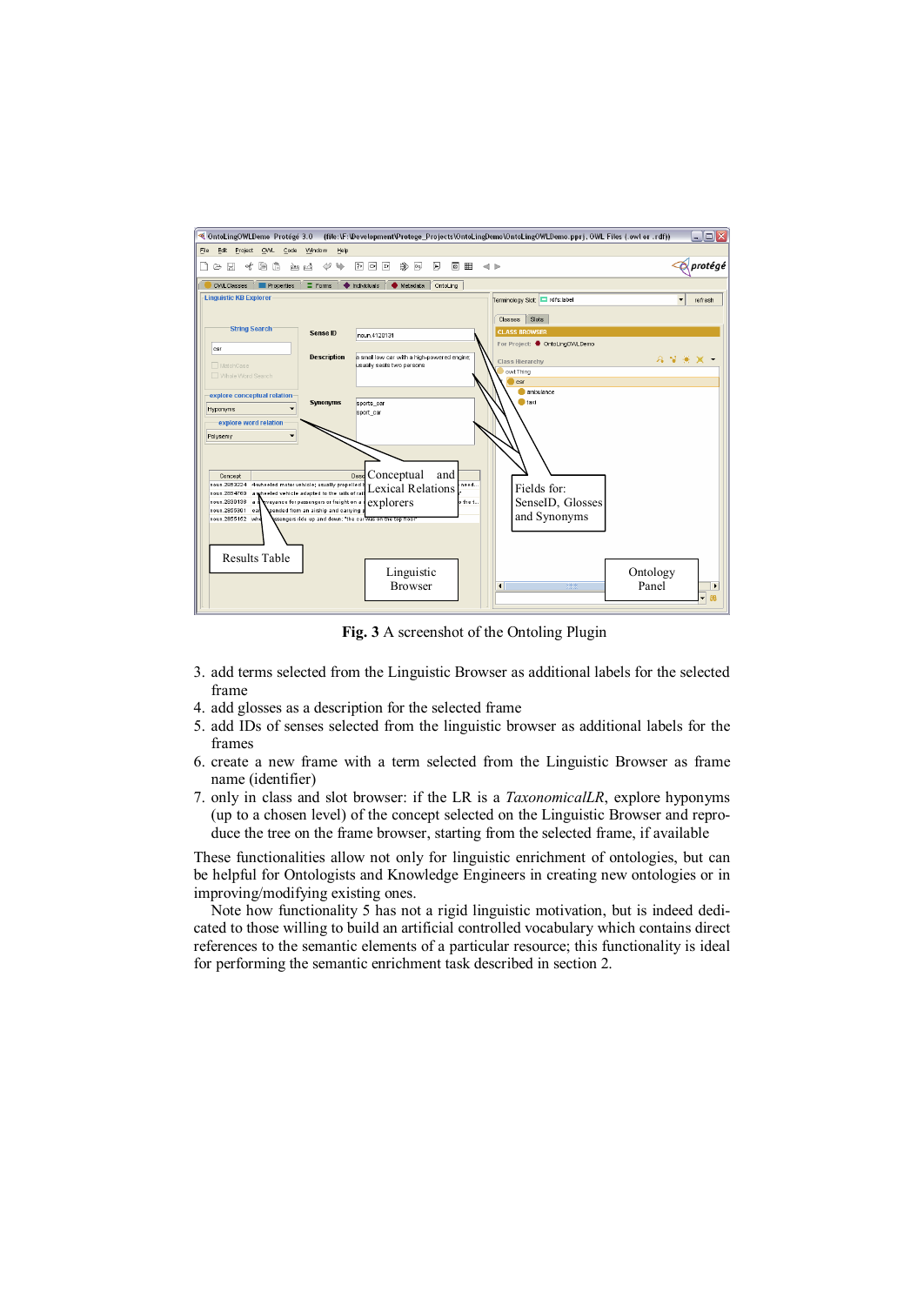

**Fig. 3** A screenshot of the Ontoling Plugin

- 3. add terms selected from the Linguistic Browser as additional labels for the selected frame
- 4. add glosses as a description for the selected frame
- 5. add IDs of senses selected from the linguistic browser as additional labels for the frames
- 6. create a new frame with a term selected from the Linguistic Browser as frame name (identifier)
- 7. only in class and slot browser: if the LR is a *TaxonomicalLR*, explore hyponyms (up to a chosen level) of the concept selected on the Linguistic Browser and reproduce the tree on the frame browser, starting from the selected frame, if available

These functionalities allow not only for linguistic enrichment of ontologies, but can be helpful for Ontologists and Knowledge Engineers in creating new ontologies or in improving/modifying existing ones.

Note how functionality 5 has not a rigid linguistic motivation, but is indeed dedicated to those willing to build an artificial controlled vocabulary which contains direct references to the semantic elements of a particular resource; this functionality is ideal for performing the semantic enrichment task described in section 2.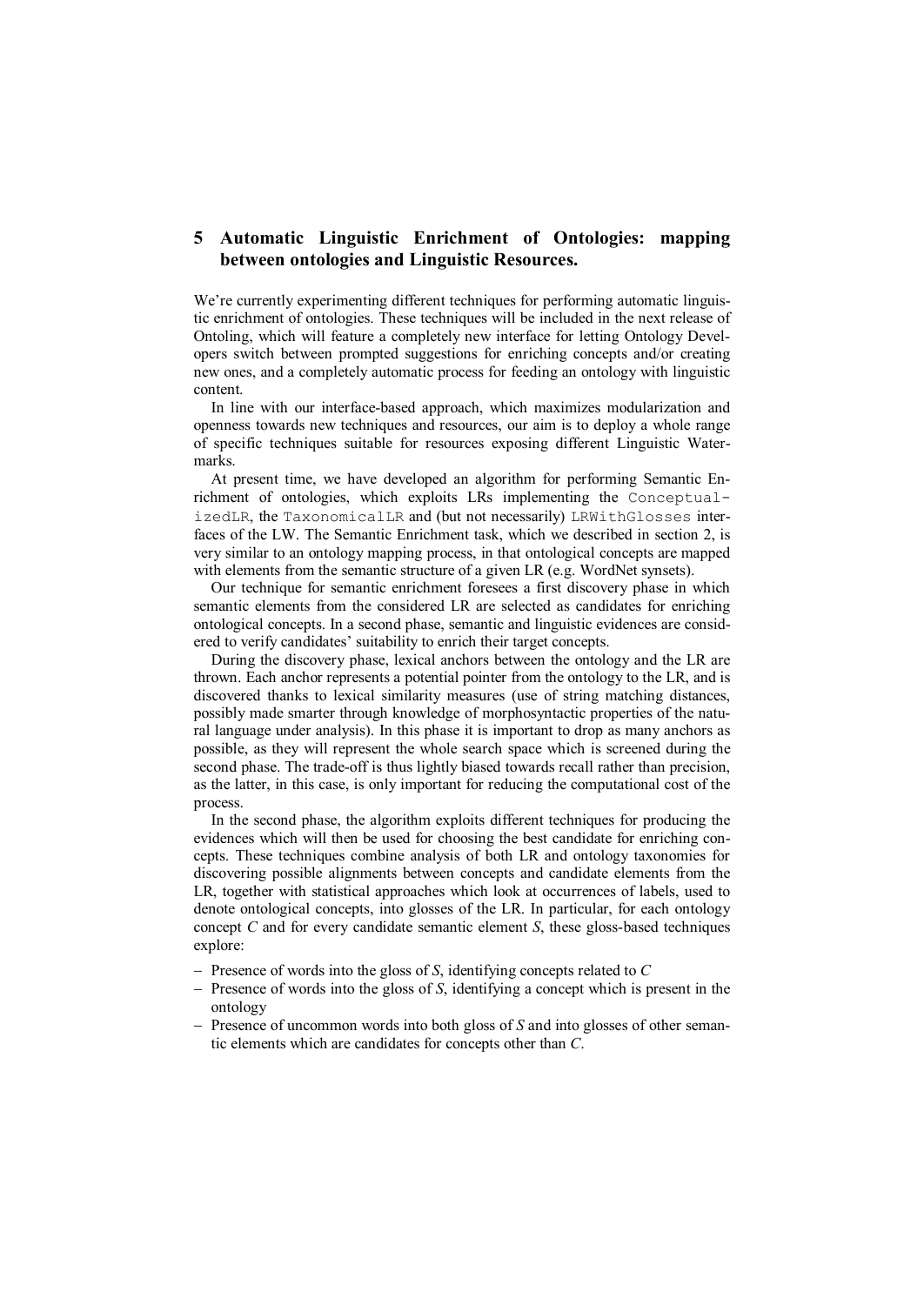## **5 Automatic Linguistic Enrichment of Ontologies: mapping between ontologies and Linguistic Resources.**

We're currently experimenting different techniques for performing automatic linguistic enrichment of ontologies. These techniques will be included in the next release of Ontoling, which will feature a completely new interface for letting Ontology Developers switch between prompted suggestions for enriching concepts and/or creating new ones, and a completely automatic process for feeding an ontology with linguistic content.

In line with our interface-based approach, which maximizes modularization and openness towards new techniques and resources, our aim is to deploy a whole range of specific techniques suitable for resources exposing different Linguistic Watermarks.

At present time, we have developed an algorithm for performing Semantic Enrichment of ontologies, which exploits LRs implementing the ConceptualizedLR, the TaxonomicalLR and (but not necessarily) LRWithGlosses interfaces of the LW. The Semantic Enrichment task, which we described in section 2, is very similar to an ontology mapping process, in that ontological concepts are mapped with elements from the semantic structure of a given LR (e.g. WordNet synsets).

Our technique for semantic enrichment foresees a first discovery phase in which semantic elements from the considered LR are selected as candidates for enriching ontological concepts. In a second phase, semantic and linguistic evidences are considered to verify candidates' suitability to enrich their target concepts.

During the discovery phase, lexical anchors between the ontology and the LR are thrown. Each anchor represents a potential pointer from the ontology to the LR, and is discovered thanks to lexical similarity measures (use of string matching distances, possibly made smarter through knowledge of morphosyntactic properties of the natural language under analysis). In this phase it is important to drop as many anchors as possible, as they will represent the whole search space which is screened during the second phase. The trade-off is thus lightly biased towards recall rather than precision, as the latter, in this case, is only important for reducing the computational cost of the process.

In the second phase, the algorithm exploits different techniques for producing the evidences which will then be used for choosing the best candidate for enriching concepts. These techniques combine analysis of both LR and ontology taxonomies for discovering possible alignments between concepts and candidate elements from the LR, together with statistical approaches which look at occurrences of labels, used to denote ontological concepts, into glosses of the LR. In particular, for each ontology concept *C* and for every candidate semantic element *S*, these gloss-based techniques explore:

- Presence of words into the gloss of *S*, identifying concepts related to *C*
- Presence of words into the gloss of *S*, identifying a concept which is present in the ontology
- Presence of uncommon words into both gloss of *S* and into glosses of other semantic elements which are candidates for concepts other than *C*.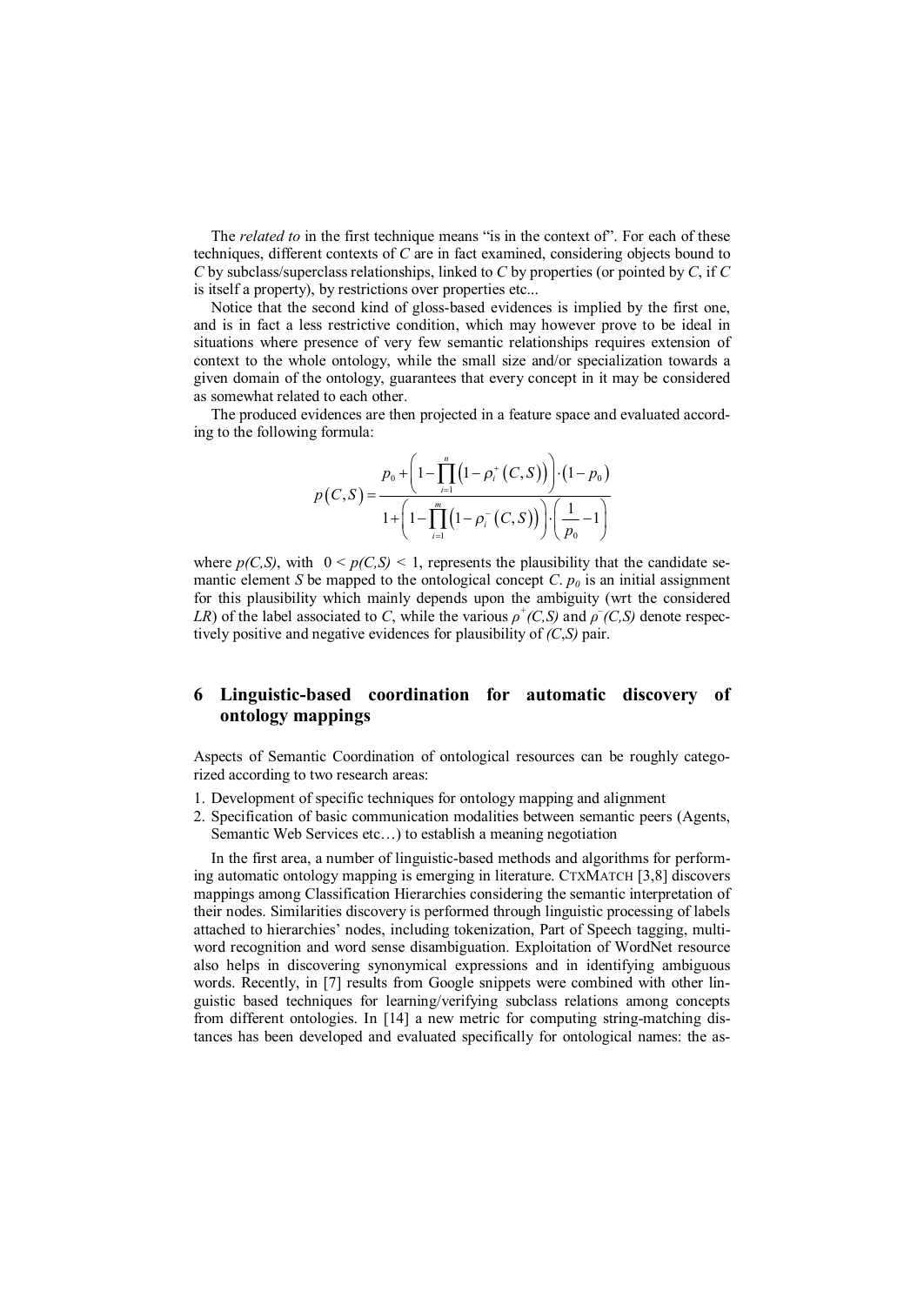The *related* to in the first technique means "is in the context of". For each of these techniques, different contexts of *C* are in fact examined, considering objects bound to *C* by subclass/superclass relationships, linked to *C* by properties (or pointed by *C*, if *C* is itself a property), by restrictions over properties etc...

Notice that the second kind of gloss-based evidences is implied by the first one, and is in fact a less restrictive condition, which may however prove to be ideal in situations where presence of very few semantic relationships requires extension of context to the whole ontology, while the small size and/or specialization towards a given domain of the ontology, guarantees that every concept in it may be considered as somewhat related to each other.

The produced evidences are then projected in a feature space and evaluated according to the following formula:

$$
p(C, S) = \frac{p_0 + \left(1 - \prod_{i=1}^n \left(1 - \rho_i^+(C, S)\right)\right) \cdot \left(1 - p_0\right)}{1 + \left(1 - \prod_{i=1}^m \left(1 - \rho_i^-(C, S)\right)\right) \cdot \left(\frac{1}{p_0} - 1\right)}
$$

where  $p(C, S)$ , with  $0 \le p(C, S) \le 1$ , represents the plausibility that the candidate semantic element *S* be mapped to the ontological concept *C*.  $p_0$  is an initial assignment for this plausibility which mainly depends upon the ambiguity (wrt the considered *LR*) of the label associated to *C*, while the various  $\rho^+(C, S)$  and  $\rho^-(C, S)$  denote respectively positive and negative evidences for plausibility of *(C*,*S)* pair.

## **6 Linguistic-based coordination for automatic discovery of ontology mappings**

Aspects of Semantic Coordination of ontological resources can be roughly categorized according to two research areas:

- 1. Development of specific techniques for ontology mapping and alignment
- 2. Specification of basic communication modalities between semantic peers (Agents, Semantic Web Services etc…) to establish a meaning negotiation

In the first area, a number of linguistic-based methods and algorithms for performing automatic ontology mapping is emerging in literature. CTXMATCH [3,8] discovers mappings among Classification Hierarchies considering the semantic interpretation of their nodes. Similarities discovery is performed through linguistic processing of labels attached to hierarchies' nodes, including tokenization, Part of Speech tagging, multiword recognition and word sense disambiguation. Exploitation of WordNet resource also helps in discovering synonymical expressions and in identifying ambiguous words. Recently, in [7] results from Google snippets were combined with other linguistic based techniques for learning/verifying subclass relations among concepts from different ontologies. In [14] a new metric for computing string-matching distances has been developed and evaluated specifically for ontological names: the as-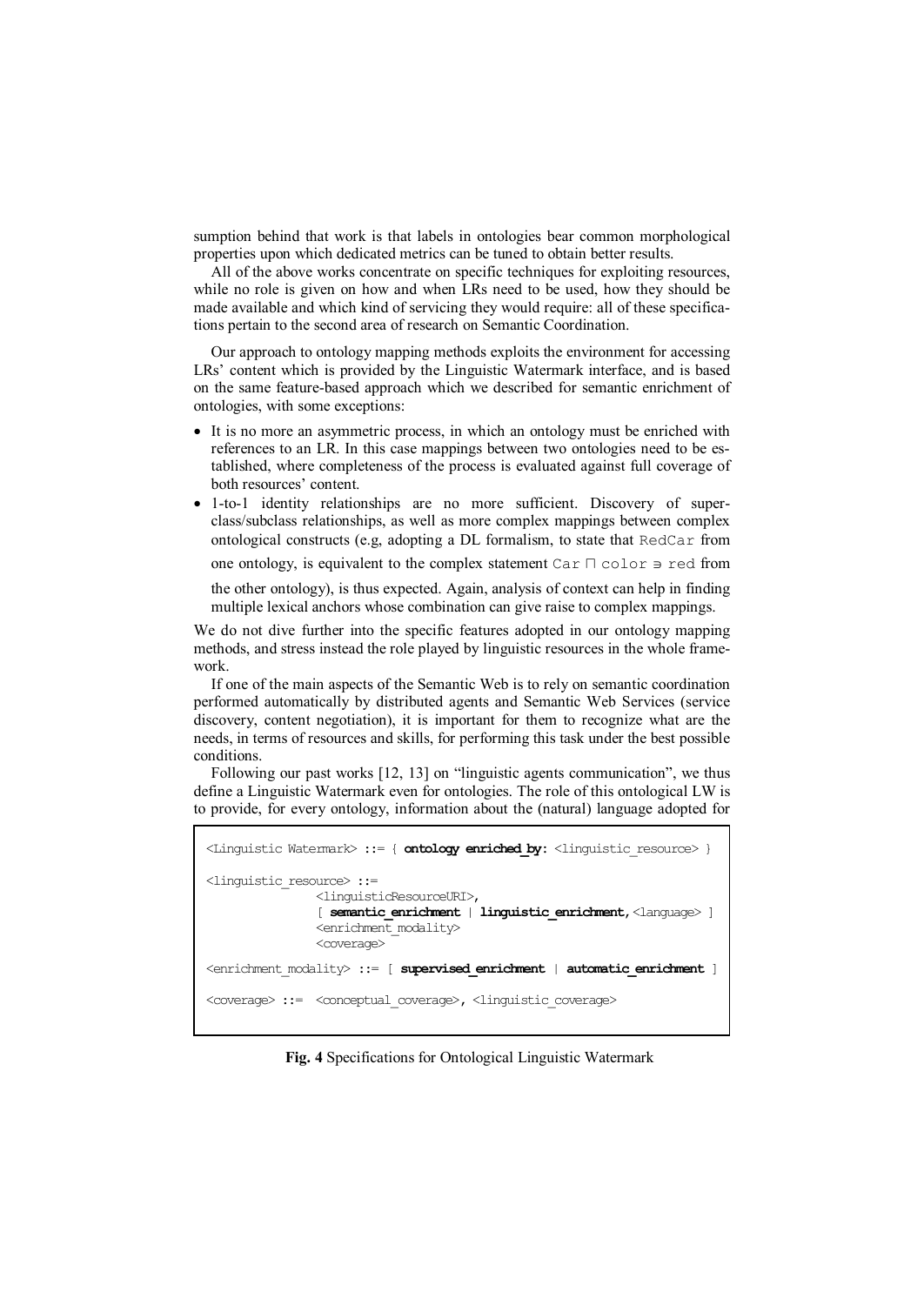sumption behind that work is that labels in ontologies bear common morphological properties upon which dedicated metrics can be tuned to obtain better results.

All of the above works concentrate on specific techniques for exploiting resources, while no role is given on how and when LRs need to be used, how they should be made available and which kind of servicing they would require: all of these specifications pertain to the second area of research on Semantic Coordination.

Our approach to ontology mapping methods exploits the environment for accessing LRs' content which is provided by the Linguistic Watermark interface, and is based on the same feature-based approach which we described for semantic enrichment of ontologies, with some exceptions:

- · It is no more an asymmetric process, in which an ontology must be enriched with references to an LR. In this case mappings between two ontologies need to be established, where completeness of the process is evaluated against full coverage of both resources' content.
- · 1-to-1 identity relationships are no more sufficient. Discovery of superclass/subclass relationships, as well as more complex mappings between complex ontological constructs (e.g, adopting a DL formalism, to state that RedCar from

one ontology, is equivalent to the complex statement Car  $\Box$  color  $\Rightarrow$  red from

the other ontology), is thus expected. Again, analysis of context can help in finding multiple lexical anchors whose combination can give raise to complex mappings.

We do not dive further into the specific features adopted in our ontology mapping methods, and stress instead the role played by linguistic resources in the whole framework.

If one of the main aspects of the Semantic Web is to rely on semantic coordination performed automatically by distributed agents and Semantic Web Services (service discovery, content negotiation), it is important for them to recognize what are the needs, in terms of resources and skills, for performing this task under the best possible conditions.

Following our past works [12, 13] on "linguistic agents communication", we thus define a Linguistic Watermark even for ontologies. The role of this ontological LW is to provide, for every ontology, information about the (natural) language adopted for

```
<Linguistic Watermark> ::= { ontology enriched_by: <linguistic_resource> } 
<linguistic_resource> ::= 
                <linguisticResourceURI>, 
                [ semantic_enrichment | linguistic_enrichment,<language> ] 
                <enrichment_modality> 
                <coverage> 
<enrichment_modality> ::= [ supervised_enrichment | automatic_enrichment ]
<coverage> ::= <conceptual_coverage>, <linguistic_coverage>
```
**Fig. 4** Specifications for Ontological Linguistic Watermark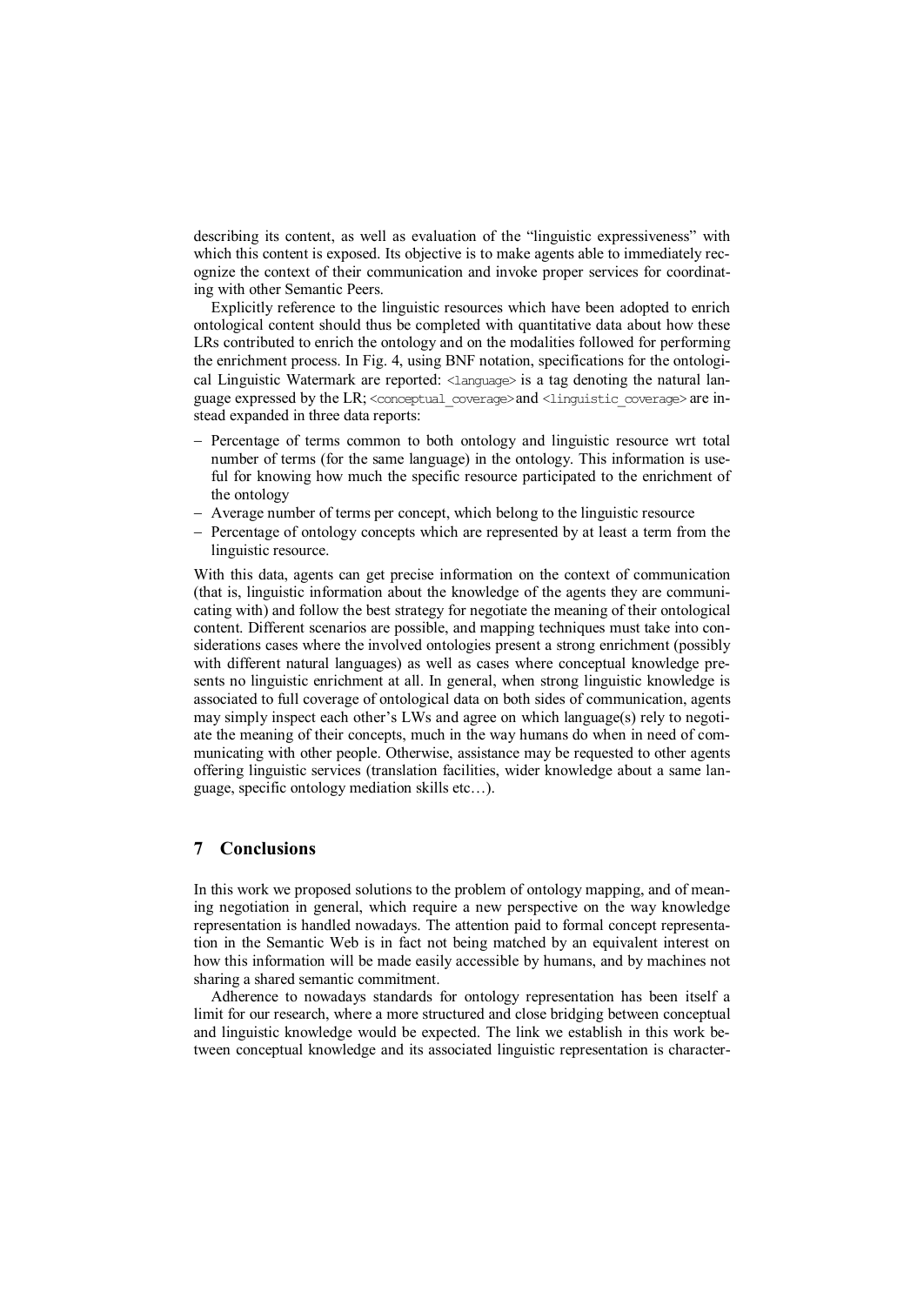describing its content, as well as evaluation of the "linguistic expressiveness" with which this content is exposed. Its objective is to make agents able to immediately recognize the context of their communication and invoke proper services for coordinating with other Semantic Peers.

Explicitly reference to the linguistic resources which have been adopted to enrich ontological content should thus be completed with quantitative data about how these LRs contributed to enrich the ontology and on the modalities followed for performing the enrichment process. In Fig. 4, using BNF notation, specifications for the ontological Linguistic Watermark are reported: <language> is a tag denoting the natural language expressed by the LR; <conceptual\_coverage>and <linguistic\_coverage>are instead expanded in three data reports:

- Percentage of terms common to both ontology and linguistic resource wrt total number of terms (for the same language) in the ontology. This information is useful for knowing how much the specific resource participated to the enrichment of the ontology
- Average number of terms per concept, which belong to the linguistic resource
- Percentage of ontology concepts which are represented by at least a term from the linguistic resource.

With this data, agents can get precise information on the context of communication (that is, linguistic information about the knowledge of the agents they are communicating with) and follow the best strategy for negotiate the meaning of their ontological content. Different scenarios are possible, and mapping techniques must take into considerations cases where the involved ontologies present a strong enrichment (possibly with different natural languages) as well as cases where conceptual knowledge presents no linguistic enrichment at all. In general, when strong linguistic knowledge is associated to full coverage of ontological data on both sides of communication, agents may simply inspect each other's LWs and agree on which language(s) rely to negotiate the meaning of their concepts, much in the way humans do when in need of communicating with other people. Otherwise, assistance may be requested to other agents offering linguistic services (translation facilities, wider knowledge about a same language, specific ontology mediation skills etc…).

## **7 Conclusions**

In this work we proposed solutions to the problem of ontology mapping, and of meaning negotiation in general, which require a new perspective on the way knowledge representation is handled nowadays. The attention paid to formal concept representation in the Semantic Web is in fact not being matched by an equivalent interest on how this information will be made easily accessible by humans, and by machines not sharing a shared semantic commitment.

Adherence to nowadays standards for ontology representation has been itself a limit for our research, where a more structured and close bridging between conceptual and linguistic knowledge would be expected. The link we establish in this work between conceptual knowledge and its associated linguistic representation is character-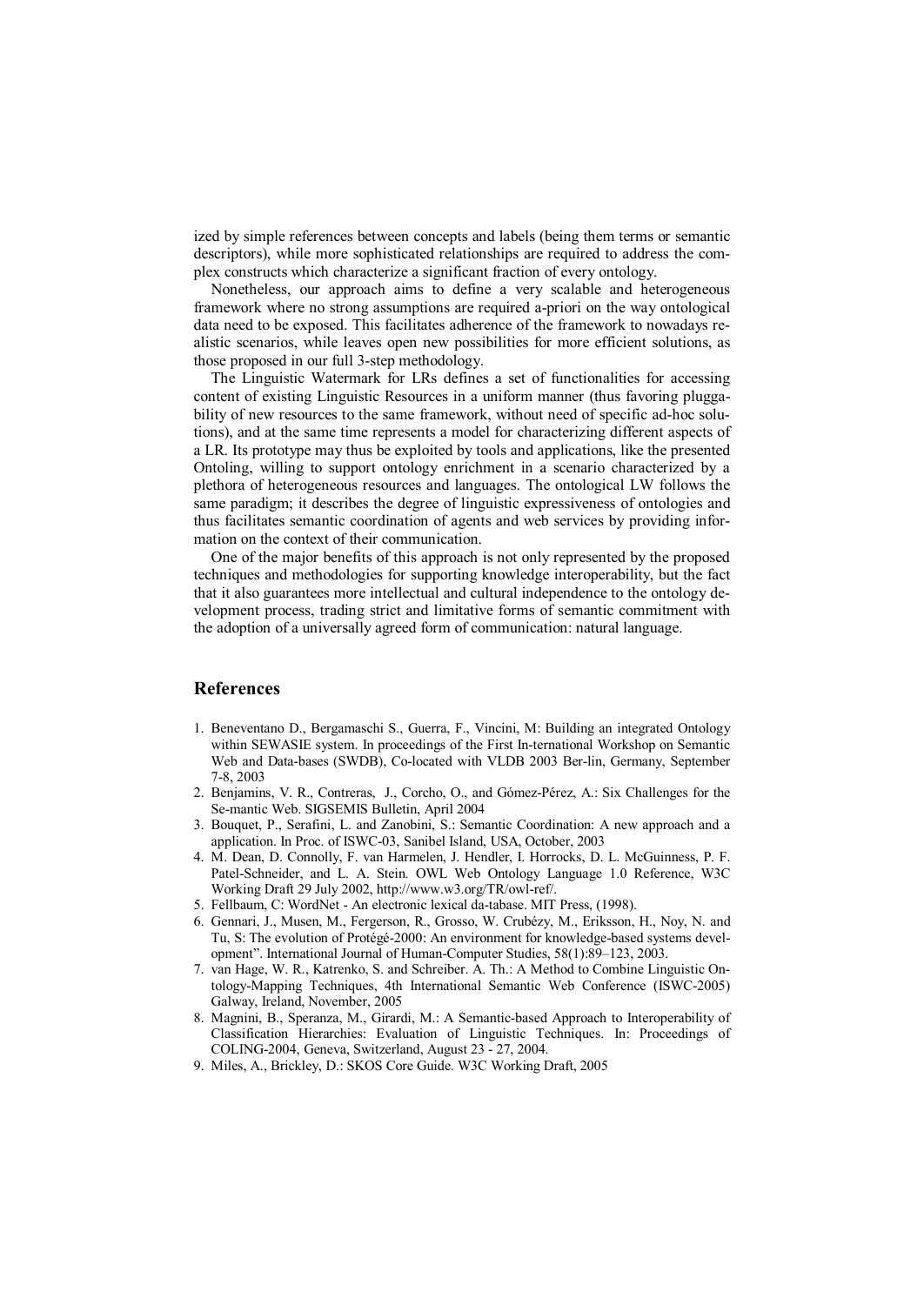ized by simple references between concepts and labels (being them terms or semantic descriptors), while more sophisticated relationships are required to address the complex constructs which characterize a significant fraction of every ontology.

Nonetheless, our approach aims to define a very scalable and heterogeneous framework where no strong assumptions are required a-priori on the way ontological data need to be exposed. This facilitates adherence of the framework to nowadays realistic scenarios, while leaves open new possibilities for more efficient solutions, as those proposed in our full 3-step methodology.

The Linguistic Watermark for LRs defines a set of functionalities for accessing content of existing Linguistic Resources in a uniform manner (thus favoring pluggability of new resources to the same framework, without need of specific ad-hoc solutions), and at the same time represents a model for characterizing different aspects of a LR. Its prototype may thus be exploited by tools and applications, like the presented Ontoling, willing to support ontology enrichment in a scenario characterized by a plethora of heterogeneous resources and languages. The ontological LW follows the same paradigm; it describes the degree of linguistic expressiveness of ontologies and thus facilitates semantic coordination of agents and web services by providing information on the context of their communication.

One of the major benefits of this approach is not only represented by the proposed techniques and methodologies for supporting knowledge interoperability, but the fact that it also guarantees more intellectual and cultural independence to the ontology development process, trading strict and limitative forms of semantic commitment with the adoption of a universally agreed form of communication: natural language.

## **References**

- 1. Beneventano D., Bergamaschi S., Guerra, F., Vincini, M: Building an integrated Ontology within SEWASIE system. In proceedings of the First In-ternational Workshop on Semantic Web and Data-bases (SWDB), Co-located with VLDB 2003 Ber-lin, Germany, September 7-8, 2003
- 2. Benjamins, V. R., Contreras, J., Corcho, O., and Gómez-Pérez, A.: Six Challenges for the Se-mantic Web. SIGSEMIS Bulletin, April 2004
- 3. Bouquet, P., Serafini, L. and Zanobini, S.: Semantic Coordination: A new approach and a application. In Proc. of ISWC-03, Sanibel Island, USA, October, 2003
- 4. M. Dean, D. Connolly, F. van Harmelen, J. Hendler, I. Horrocks, D. L. McGuinness, P. F. Patel-Schneider, and L. A. Stein. OWL Web Ontology Language 1.0 Reference, W3C Working Draft 29 July 2002, http://www.w3.org/TR/owl-ref/.
- 5. Fellbaum, C: WordNet An electronic lexical da-tabase. MIT Press, (1998).
- 6. Gennari, J., Musen, M., Fergerson, R., Grosso, W. Crubézy, M., Eriksson, H., Noy, N. and Tu, S: The evolution of Protégé-2000: An environment for knowledge-based systems development". International Journal of Human-Computer Studies, 58(1):89–123, 2003.
- 7. van Hage, W. R., Katrenko, S. and Schreiber. A. Th.: A Method to Combine Linguistic Ontology-Mapping Techniques, 4th International Semantic Web Conference (ISWC-2005) Galway, Ireland, November, 2005
- 8. Magnini, B., Speranza, M., Girardi, M.: A Semantic-based Approach to Interoperability of Classification Hierarchies: Evaluation of Linguistic Techniques. In: Proceedings of COLING-2004, Geneva, Switzerland, August 23 - 27, 2004.
- 9. Miles, A., Brickley, D.: SKOS Core Guide. W3C Working Draft, 2005